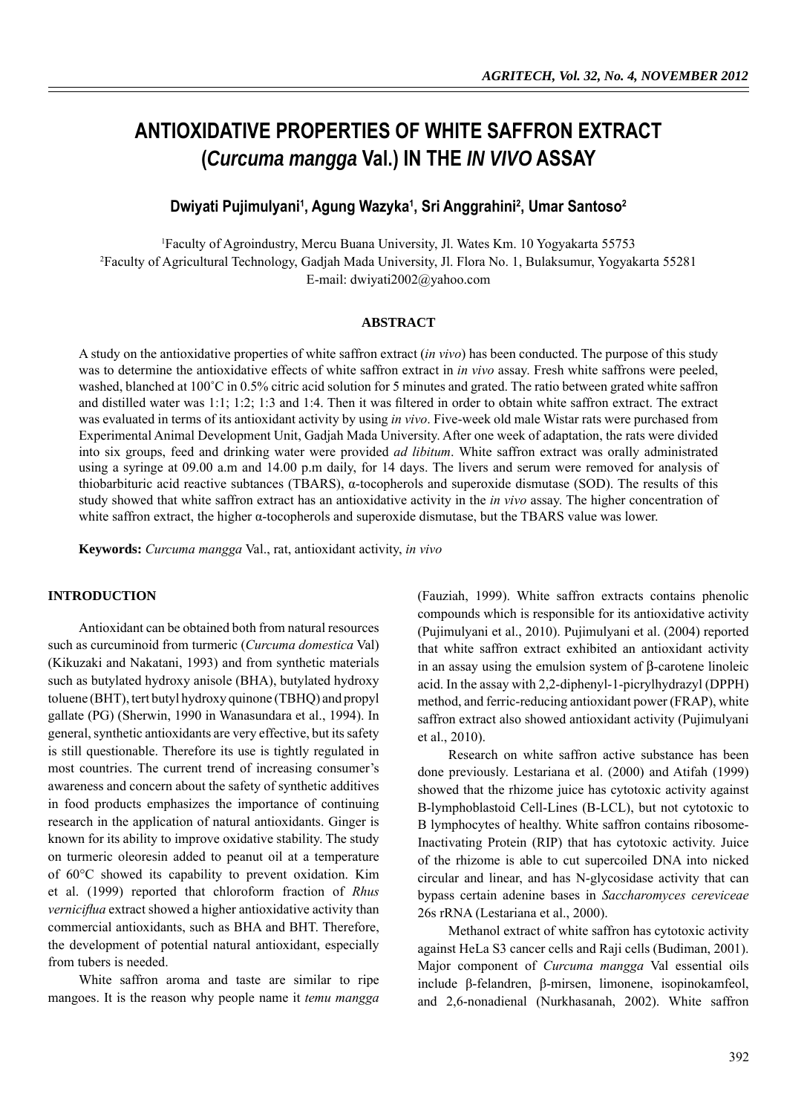# **ANTIOXIDATIVE PROPERTIES OF WHITE SAFFRON EXTRACT (***Curcuma mangga* **Val.) IN THE** *IN VIVO* **ASSAY**

Dwiyati Pujimulyani<sup>1</sup>, Agung Wazyka<sup>1</sup>, Sri Anggrahini<sup>2</sup>, Umar Santoso<sup>2</sup>

1 Faculty of Agroindustry, Mercu Buana University, Jl. Wates Km. 10 Yogyakarta 55753 2 Faculty of Agricultural Technology, Gadjah Mada University, Jl. Flora No. 1, Bulaksumur, Yogyakarta 55281 E-mail: dwiyati2002@yahoo.com

## **ABSTRACT**

A study on the antioxidative properties of white saffron extract (*in vivo*) has been conducted. The purpose of this study was to determine the antioxidative effects of white saffron extract in *in vivo* assay. Fresh white saffrons were peeled, washed, blanched at 100°C in 0.5% citric acid solution for 5 minutes and grated. The ratio between grated white saffron and distilled water was  $1:1$ ;  $1:2$ ;  $1:3$  and  $1:4$ . Then it was filtered in order to obtain white saffron extract. The extract was evaluated in terms of its antioxidant activity by using *in vivo*. Five-week old male Wistar rats were purchased from Experimental Animal Development Unit, Gadjah Mada University. After one week of adaptation, the rats were divided into six groups, feed and drinking water were provided *ad libitum*. White saffron extract was orally administrated using a syringe at 09.00 a.m and 14.00 p.m daily, for 14 days. The livers and serum were removed for analysis of thiobarbituric acid reactive subtances (TBARS),  $α$ -tocopherols and superoxide dismutase (SOD). The results of this study showed that white saffron extract has an antioxidative activity in the *in vivo* assay. The higher concentration of white saffron extract, the higher  $\alpha$ -tocopherols and superoxide dismutase, but the TBARS value was lower.

**Keywords:** *Curcuma mangga* Val., rat, antioxidant activity, *in vivo*

## **INTRODUCTION**

Antioxidant can be obtained both from natural resources such as curcuminoid from turmeric (*Curcuma domestica* Val) (Kikuzaki and Nakatani, 1993) and from synthetic materials such as butylated hydroxy anisole (BHA), butylated hydroxy toluene (BHT), tert butyl hydroxy quinone (TBHQ) and propyl gallate (PG) (Sherwin, 1990 in Wanasundara et al., 1994). In general, synthetic antioxidants are very effective, but its safety is still questionable. Therefore its use is tightly regulated in most countries. The current trend of increasing consumer's awareness and concern about the safety of synthetic additives in food products emphasizes the importance of continuing research in the application of natural antioxidants. Ginger is known for its ability to improve oxidative stability. The study on turmeric oleoresin added to peanut oil at a temperature of 60°C showed its capability to prevent oxidation. Kim et al. (1999) reported that chloroform fraction of *Rhus verniciflua* extract showed a higher antioxidative activity than commercial antioxidants, such as BHA and BHT. Therefore, the development of potential natural antioxidant, especially from tubers is needed.

White saffron aroma and taste are similar to ripe mangoes. It is the reason why people name it *temu mangga* (Fauziah, 1999). White saffron extracts contains phenolic compounds which is responsible for its antioxidative activity (Pujimulyani et al., 2010). Pujimulyani et al. (2004) reported that white saffron extract exhibited an antioxidant activity in an assay using the emulsion system of β-carotene linoleic acid. In the assay with 2,2-diphenyl-1-picrylhydrazyl (DPPH) method, and ferric-reducing antioxidant power (FRAP), white saffron extract also showed antioxidant activity (Pujimulyani et al., 2010).

Research on white saffron active substance has been done previously. Lestariana et al. (2000) and Atifah (1999) showed that the rhizome juice has cytotoxic activity against B-lymphoblastoid Cell-Lines (B-LCL), but not cytotoxic to B lymphocytes of healthy. White saffron contains ribosome-Inactivating Protein (RIP) that has cytotoxic activity. Juice of the rhizome is able to cut supercoiled DNA into nicked circular and linear, and has N-glycosidase activity that can bypass certain adenine bases in *Saccharomyces cereviceae*  26s rRNA (Lestariana et al., 2000).

Methanol extract of white saffron has cytotoxic activity against HeLa S3 cancer cells and Raji cells (Budiman, 2001). Major component of *Curcuma mangga* Val essential oils include β-felandren, β-mirsen, limonene, isopinokamfeol, and 2,6-nonadienal (Nurkhasanah, 2002). White saffron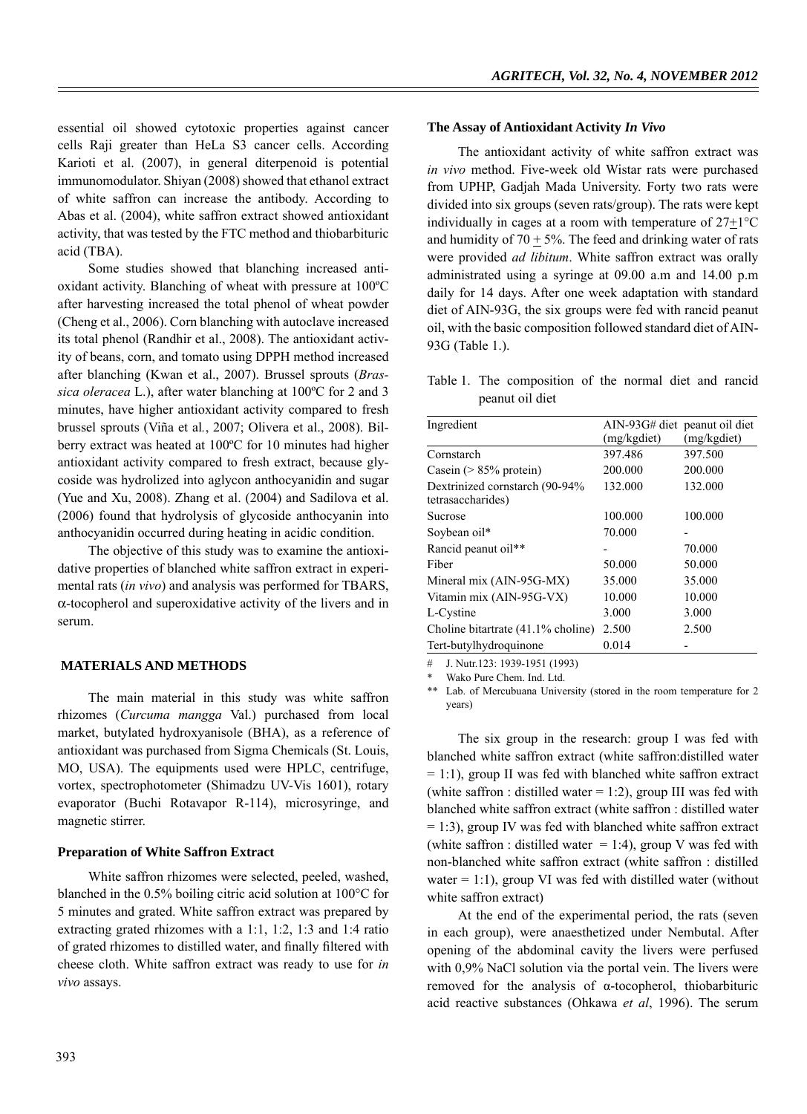essential oil showed cytotoxic properties against cancer cells Raji greater than HeLa S3 cancer cells. According Karioti et al. (2007), in general diterpenoid is potential immunomodulator. Shiyan (2008) showed that ethanol extract of white saffron can increase the antibody. According to Abas et al. (2004), white saffron extract showed antioxidant activity, that was tested by the FTC method and thiobarbituric acid (TBA).

Some studies showed that blanching increased antioxidant activity. Blanching of wheat with pressure at 100ºC after harvesting increased the total phenol of wheat powder (Cheng et al., 2006). Corn blanching with autoclave increased its total phenol (Randhir et al., 2008). The antioxidant activity of beans, corn, and tomato using DPPH method increased after blanching (Kwan et al., 2007). Brussel sprouts (*Brassica oleracea* L.), after water blanching at 100ºC for 2 and 3 minutes, have higher antioxidant activity compared to fresh brussel sprouts (Viña et al*.*, 2007; Olivera et al., 2008). Bilberry extract was heated at 100ºC for 10 minutes had higher antioxidant activity compared to fresh extract, because glycoside was hydrolized into aglycon anthocyanidin and sugar (Yue and Xu, 2008). Zhang et al. (2004) and Sadilova et al. (2006) found that hydrolysis of glycoside anthocyanin into anthocyanidin occurred during heating in acidic condition.

The objective of this study was to examine the antioxidative properties of blanched white saffron extract in experimental rats (*in vivo*) and analysis was performed for TBARS, α-tocopherol and superoxidative activity of the livers and in serum.

## **MATERIALS AND METHODS**

The main material in this study was white saffron rhizomes (*Curcuma mangga* Val.) purchased from local market, butylated hydroxyanisole (BHA), as a reference of antioxidant was purchased from Sigma Chemicals (St. Louis, MO, USA). The equipments used were HPLC, centrifuge, vortex, spectrophotometer (Shimadzu UV-Vis 1601), rotary evaporator (Buchi Rotavapor R-114), microsyringe, and magnetic stirrer.

#### **Preparation of White Saffron Extract**

White saffron rhizomes were selected, peeled, washed, blanched in the 0.5% boiling citric acid solution at 100°C for 5 minutes and grated. White saffron extract was prepared by extracting grated rhizomes with a 1:1, 1:2, 1:3 and 1:4 ratio of grated rhizomes to distilled water, and finally filtered with cheese cloth. White saffron extract was ready to use for *in vivo* assays.

#### **The Assay of Antioxidant Activity** *In Vivo*

The antioxidant activity of white saffron extract was *in vivo* method. Five-week old Wistar rats were purchased from UPHP, Gadjah Mada University. Forty two rats were divided into six groups (seven rats/group). The rats were kept individually in cages at a room with temperature of 27+1°C and humidity of 70  $\pm$  5%. The feed and drinking water of rats were provided *ad libitum*. White saffron extract was orally administrated using a syringe at 09.00 a.m and 14.00 p.m daily for 14 days. After one week adaptation with standard diet of AIN-93G, the six groups were fed with rancid peanut oil, with the basic composition followed standard diet of AIN-93G (Table 1.).

Table 1. The composition of the normal diet and rancid peanut oil diet

|             | peanut oil diet                 |
|-------------|---------------------------------|
| (mg/kgdiet) | (mg/kgdiet)                     |
| 397.486     | 397.500                         |
| 200.000     | 200.000                         |
| 132.000     | 132.000                         |
| 100.000     | 100.000                         |
| 70.000      |                                 |
|             | 70.000                          |
| 50.000      | 50.000                          |
| 35.000      | 35.000                          |
| 10.000      | 10.000                          |
| 3.000       | 3.000                           |
| 2.500       | 2.500                           |
| 0.014       |                                 |
|             | $\text{AlN-93G}\# \text{ diet}$ |

# J. Nutr.123: 1939-1951 (1993)

Wako Pure Chem. Ind. Ltd.

\*\* Lab. of Mercubuana University (stored in the room temperature for 2 years)

The six group in the research: group I was fed with blanched white saffron extract (white saffron:distilled water  $= 1:1$ ), group II was fed with blanched white saffron extract (white saffron : distilled water  $= 1:2$ ), group III was fed with blanched white saffron extract (white saffron : distilled water  $= 1:3$ ), group IV was fed with blanched white saffron extract (white saffron : distilled water  $= 1:4$ ), group V was fed with non-blanched white saffron extract (white saffron : distilled water  $= 1:1$ ), group VI was fed with distilled water (without white saffron extract)

At the end of the experimental period, the rats (seven in each group), were anaesthetized under Nembutal. After opening of the abdominal cavity the livers were perfused with 0,9% NaCl solution via the portal vein. The livers were removed for the analysis of α-tocopherol, thiobarbituric acid reactive substances (Ohkawa *et al*, 1996). The serum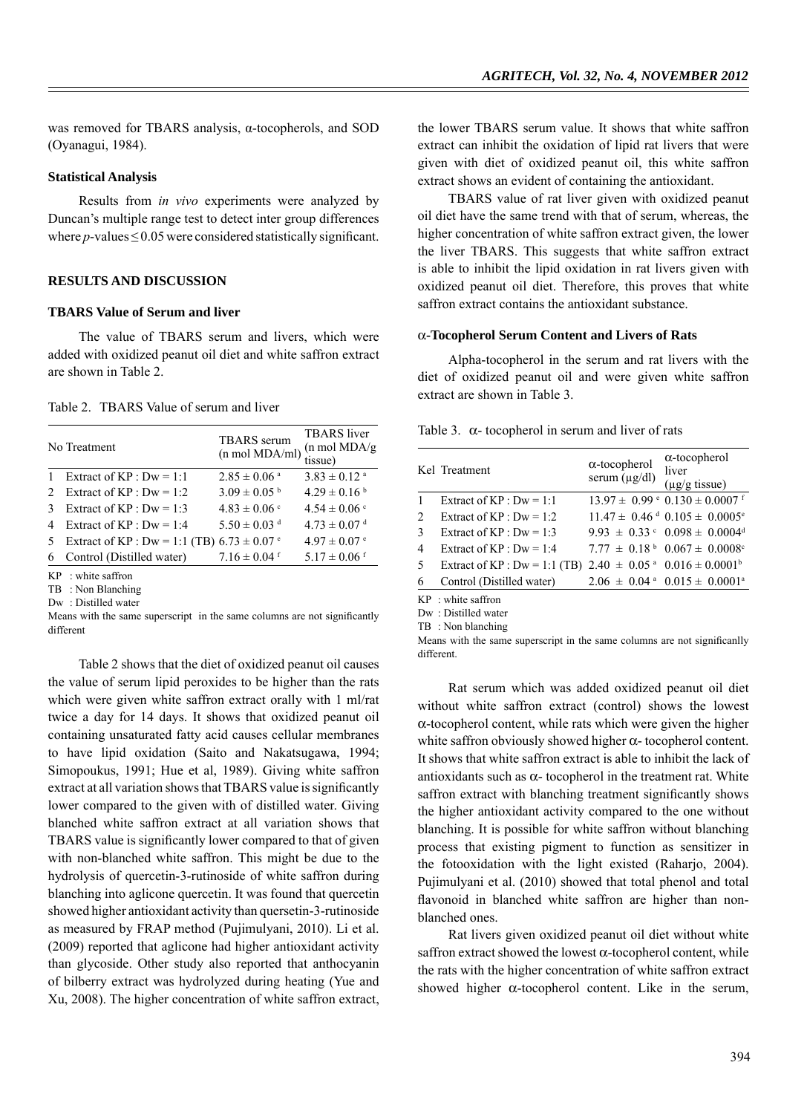was removed for TBARS analysis, α-tocopherols, and SOD (Oyanagui, 1984).

#### **Statistical Analysis**

Results from *in vivo* experiments were analyzed by Duncan's multiple range test to detect inter group differences where  $p$ -values  $\leq$  0.05 were considered statistically significant.

## **RESULTS AND DISCUSSION**

## **TBARS Value of Serum and liver**

The value of TBARS serum and livers, which were added with oxidized peanut oil diet and white saffron extract are shown in Table 2.

Table 2. TBARS Value of serum and liver

|                               | No Treatment                                    | <b>TBARS</b> serum<br>$(n \text{ mol } MDA/ml)$ | <b>TBARS</b> liver<br>$(n \text{ mol } MDA/g)$<br>tissue) |
|-------------------------------|-------------------------------------------------|-------------------------------------------------|-----------------------------------------------------------|
|                               | Extract of $KP: Dw = 1:1$                       | $2.85 \pm 0.06$ <sup>a</sup>                    | $3.83 \pm 0.12$ <sup>a</sup>                              |
| $\mathfrak{D}_{\mathfrak{p}}$ | Extract of $KP : Dw = 1:2$                      | $3.09 \pm 0.05^{b}$                             | $4.29 \pm 0.16^{b}$                                       |
| 3                             | Extract of $KP : Dw = 1:3$                      | $4.83 \pm 0.06$ °                               | $4.54 \pm 0.06$ c                                         |
| 4                             | Extract of $KP: Dw = 1:4$                       | $5.50 \pm 0.03$ <sup>d</sup>                    | $4.73 \pm 0.07$ <sup>d</sup>                              |
| 5                             | Extract of KP : Dw = 1:1 (TB) $6.73 \pm 0.07$ ° |                                                 | $4.97 \pm 0.07$ °                                         |
| 6                             | Control (Distilled water)                       | $7.16 \pm 0.04$ f                               | $5.17 \pm 0.06$ <sup>f</sup>                              |
|                               | $KP$ : white saffron                            |                                                 |                                                           |

TB : Non Blanching

Dw : Distilled water

Means with the same superscript in the same columns are not significantly different

Table 2 shows that the diet of oxidized peanut oil causes the value of serum lipid peroxides to be higher than the rats which were given white saffron extract orally with 1 ml/rat twice a day for 14 days. It shows that oxidized peanut oil containing unsaturated fatty acid causes cellular membranes to have lipid oxidation (Saito and Nakatsugawa, 1994; Simopoukus, 1991; Hue et al, 1989). Giving white saffron extract at all variation shows that TBARS value is significantly lower compared to the given with of distilled water. Giving blanched white saffron extract at all variation shows that TBARS value is significantly lower compared to that of given with non-blanched white saffron. This might be due to the hydrolysis of quercetin-3-rutinoside of white saffron during blanching into aglicone quercetin. It was found that quercetin showed higher antioxidant activity than quersetin-3-rutinoside as measured by FRAP method (Pujimulyani, 2010). Li et al. (2009) reported that aglicone had higher antioxidant activity than glycoside. Other study also reported that anthocyanin of bilberry extract was hydrolyzed during heating (Yue and Xu, 2008). The higher concentration of white saffron extract, the lower TBARS serum value. It shows that white saffron extract can inhibit the oxidation of lipid rat livers that were given with diet of oxidized peanut oil, this white saffron extract shows an evident of containing the antioxidant.

TBARS value of rat liver given with oxidized peanut oil diet have the same trend with that of serum, whereas, the higher concentration of white saffron extract given, the lower the liver TBARS. This suggests that white saffron extract is able to inhibit the lipid oxidation in rat livers given with oxidized peanut oil diet. Therefore, this proves that white saffron extract contains the antioxidant substance.

#### α**-Tocopherol Serum Content and Livers of Rats**

Alpha-tocopherol in the serum and rat livers with the diet of oxidized peanut oil and were given white saffron extract are shown in Table 3.

|  |  |  |  |  |  | Table 3. $\alpha$ - tocopherol in serum and liver of rats |  |  |  |  |
|--|--|--|--|--|--|-----------------------------------------------------------|--|--|--|--|
|--|--|--|--|--|--|-----------------------------------------------------------|--|--|--|--|

|                | Kel Treatment                   | $\alpha$ -tocopherol<br>serum $(\mu g/dl)$ | $\alpha$ -tocopherol<br>liver<br>$(\mu$ g/g tissue)           |
|----------------|---------------------------------|--------------------------------------------|---------------------------------------------------------------|
| -1             | Extract of $KP : Dw = 1:1$      |                                            | $13.97 \pm 0.99$ ° $0.130 \pm 0.0007$ f                       |
| 2              | Extract of $KP : Dw = 1:2$      |                                            | $11.47 \pm 0.46$ <sup>d</sup> $0.105 \pm 0.0005$ <sup>e</sup> |
| 3              | Extract of $KP: Dw = 1:3$       |                                            | $9.93 \pm 0.33$ ° $0.098 \pm 0.0004$ <sup>d</sup>             |
| $\overline{4}$ | Extract of $KP : Dw = 1:4$      |                                            | $7.77 \pm 0.18^{\mathrm{b}} 0.067 \pm 0.0008^{\mathrm{c}}$    |
| 5              | Extract of $KP : Dw = 1:1$ (TB) |                                            | $2.40 \pm 0.05$ <sup>a</sup> $0.016 \pm 0.0001$ <sup>b</sup>  |
| 6              | Control (Distilled water)       |                                            | $2.06 \pm 0.04$ <sup>a</sup> $0.015 \pm 0.0001$ <sup>a</sup>  |
|                | $KP$ vyhite saffron             |                                            |                                                               |

Dw : Distilled water

TB : Non blanching

Means with the same superscript in the same columns are not significanlly different.

Rat serum which was added oxidized peanut oil diet without white saffron extract (control) shows the lowest  $\alpha$ -tocopherol content, while rats which were given the higher white saffron obviously showed higher  $\alpha$ - tocopherol content. It shows that white saffron extract is able to inhibit the lack of antioxidants such as  $\alpha$ - tocopherol in the treatment rat. White saffron extract with blanching treatment significantly shows the higher antioxidant activity compared to the one without blanching. It is possible for white saffron without blanching process that existing pigment to function as sensitizer in the fotooxidation with the light existed (Raharjo, 2004). Pujimulyani et al. (2010) showed that total phenol and total flavonoid in blanched white saffron are higher than nonblanched ones.

Rat livers given oxidized peanut oil diet without white saffron extract showed the lowest  $\alpha$ -tocopherol content, while the rats with the higher concentration of white saffron extract showed higher  $\alpha$ -tocopherol content. Like in the serum,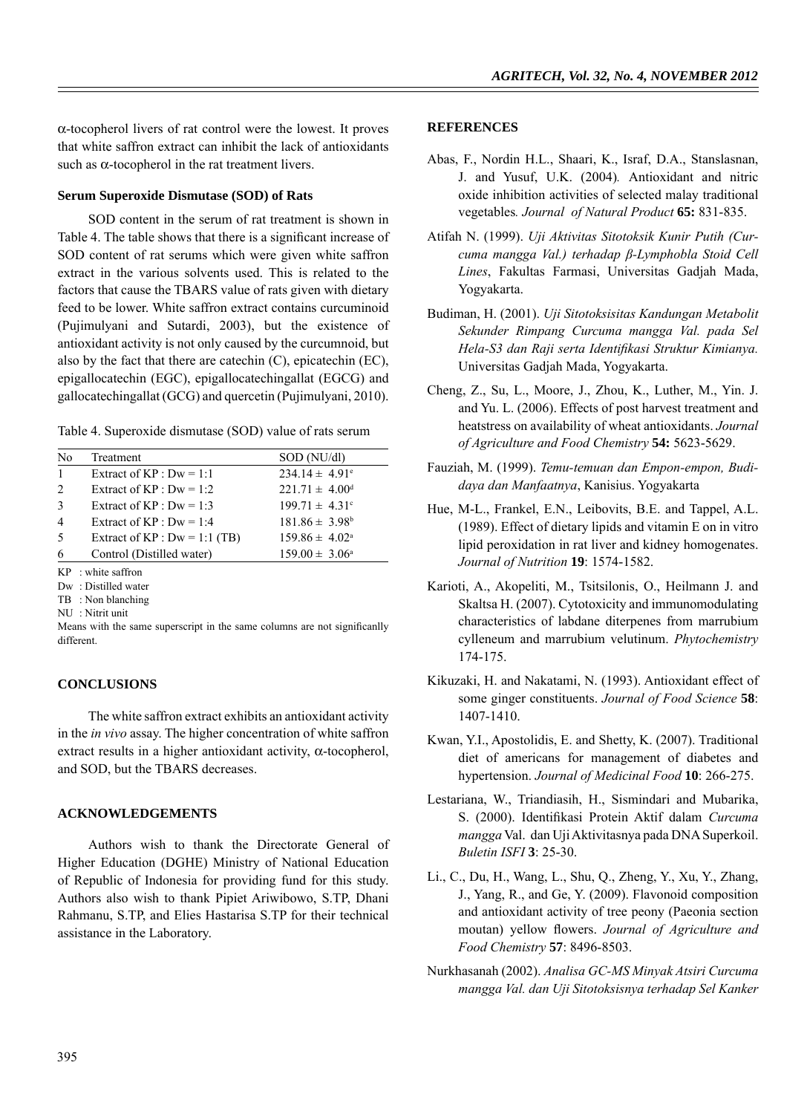α-tocopherol livers of rat control were the lowest. It proves that white saffron extract can inhibit the lack of antioxidants such as  $\alpha$ -tocopherol in the rat treatment livers.

## **Serum Superoxide Dismutase (SOD) of Rats**

SOD content in the serum of rat treatment is shown in Table 4. The table shows that there is a significant increase of SOD content of rat serums which were given white saffron extract in the various solvents used. This is related to the factors that cause the TBARS value of rats given with dietary feed to be lower. White saffron extract contains curcuminoid (Pujimulyani and Sutardi, 2003), but the existence of antioxidant activity is not only caused by the curcumnoid, but also by the fact that there are catechin (C), epicatechin (EC), epigallocatechin (EGC), epigallocatechingallat (EGCG) and gallocatechingallat (GCG) and quercetin (Pujimulyani, 2010).

| N <sub>0</sub> | Treatment                                                   | SOD (NU/dl)                  |
|----------------|-------------------------------------------------------------|------------------------------|
| $\mathbf{1}$   | Extract of $KP : Dw = 1:1$                                  | $234.14 \pm 4.91^{\circ}$    |
| 2              | Extract of $KP: Dw = 1:2$                                   | $221.71 \pm 4.00^{\text{d}}$ |
| 3              | Extract of $KP : Dw = 1:3$                                  | $199.71 \pm 4.31^{\circ}$    |
| $\overline{4}$ | Extract of $KP: Dw = 1:4$                                   | $181.86 \pm 3.98^b$          |
| .5             | Extract of $KP : Dw = 1:1$ (TB)                             | $159.86 \pm 4.02^{\circ}$    |
| 6              | Control (Distilled water)                                   | $159.00 \pm 3.06^{\circ}$    |
|                | $\mathbf{r} \cdot \mathbf{n} = \mathbf{r} \cdot \mathbf{n}$ |                              |

KP : white saffron

Dw : Distilled water

- TB : Non blanching
- NU : Nitrit unit

Means with the same superscript in the same columns are not significanlly different.

## **CONCLUSIONS**

The white saffron extract exhibits an antioxidant activity in the *in vivo* assay. The higher concentration of white saffron extract results in a higher antioxidant activity,  $\alpha$ -tocopherol, and SOD, but the TBARS decreases.

#### **ACKNOWLEDGEMENTS**

Authors wish to thank the Directorate General of Higher Education (DGHE) Ministry of National Education of Republic of Indonesia for providing fund for this study. Authors also wish to thank Pipiet Ariwibowo, S.TP, Dhani Rahmanu, S.TP, and Elies Hastarisa S.TP for their technical assistance in the Laboratory.

#### **REFERENCES**

- Abas, F., Nordin H.L., Shaari, K., Israf, D.A., Stanslasnan, J. and Yusuf, U.K. (2004)*.* Antioxidant and nitric oxide inhibition activities of selected malay traditional vegetables*. Journal of Natural Product* **65:** 831-835.
- Atifah N. (1999). *Uji Aktivitas Sitotoksik Kunir Putih (Curcuma mangga Val.) terhadap β-Lymphobla Stoid Cell Lines*, Fakultas Farmasi, Universitas Gadjah Mada, Yogyakarta.
- Budiman, H. (2001). *Uji Sitotoksisitas Kandungan Metabolit Sekunder Rimpang Curcuma mangga Val. pada Sel Hela-S3 dan Raji serta Identifi kasi Struktur Kimianya.*  Universitas Gadjah Mada, Yogyakarta.
- Cheng, Z., Su, L., Moore, J., Zhou, K., Luther, M., Yin. J. and Yu. L. (2006). Effects of post harvest treatment and heatstress on availability of wheat antioxidants. *Journal of Agriculture and Food Chemistry* **54:** 5623-5629.
- Fauziah, M. (1999). *Temu-temuan dan Empon-empon, Budidaya dan Manfaatnya*, Kanisius. Yogyakarta
- Hue, M-L., Frankel, E.N., Leibovits, B.E. and Tappel, A.L. (1989). Effect of dietary lipids and vitamin E on in vitro lipid peroxidation in rat liver and kidney homogenates. *Journal of Nutrition* **19**: 1574-1582.
- Karioti, A., Akopeliti, M., Tsitsilonis, O., Heilmann J. and Skaltsa H. (2007). Cytotoxicity and immunomodulating characteristics of labdane diterpenes from marrubium cylleneum and marrubium velutinum. *Phytochemistry* 174-175.
- Kikuzaki, H. and Nakatami, N. (1993). Antioxidant effect of some ginger constituents. *Journal of Food Science* **58**: 1407-1410.
- Kwan, Y.I., Apostolidis, E. and Shetty, K. (2007). Traditional diet of americans for management of diabetes and hypertension. *Journal of Medicinal Food* **10**: 266-275.
- Lestariana, W., Triandiasih, H., Sismindari and Mubarika, S. (2000). Identifikasi Protein Aktif dalam *Curcuma mangga* Val. dan Uji Aktivitasnya pada DNA Superkoil. *Buletin ISFI* **3**: 25-30.
- Li., C., Du, H., Wang, L., Shu, Q., Zheng, Y., Xu, Y., Zhang, J., Yang, R., and Ge, Y. (2009). Flavonoid composition and antioxidant activity of tree peony (Paeonia section moutan) yellow flowers. Journal of Agriculture and *Food Chemistry* **57**: 8496-8503.
- Nurkhasanah (2002). *Analisa GC-MS Minyak Atsiri Curcuma mangga Val. dan Uji Sitotoksisnya terhadap Sel Kanker*